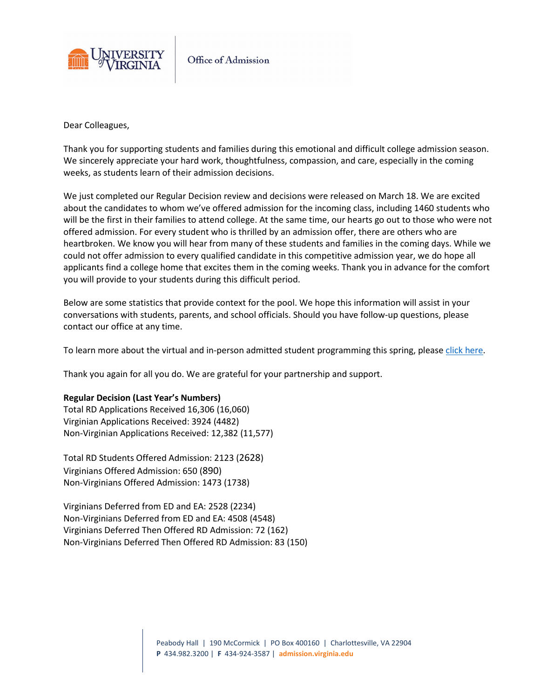

Office of Admission

Dear Colleagues,

Thank you for supporting students and families during this emotional and difficult college admission season. We sincerely appreciate your hard work, thoughtfulness, compassion, and care, especially in the coming weeks, as students learn of their admission decisions.

We just completed our Regular Decision review and decisions were released on March 18. We are excited about the candidates to whom we've offered admission for the incoming class, including 1460 students who will be the first in their families to attend college. At the same time, our hearts go out to those who were not offered admission. For every student who is thrilled by an admission offer, there are others who are heartbroken. We know you will hear from many of these students and families in the coming days. While we could not offer admission to every qualified candidate in this competitive admission year, we do hope all applicants find a college home that excites them in the coming weeks. Thank you in advance for the comfort you will provide to your students during this difficult period.

Below are some statistics that provide context for the pool. We hope this information will assist in your conversations with students, parents, and school officials. Should you have follow-up questions, please contact our office at any time.

To learn more about the virtual and in-person admitted student programming this spring, pleas[e click here.](https://admission.virginia.edu/DOTL2022)

Thank you again for all you do. We are grateful for your partnership and support.

## **Regular Decision (Last Year's Numbers)**

Total RD Applications Received 16,306 (16,060) Virginian Applications Received: 3924 (4482) Non-Virginian Applications Received: 12,382 (11,577)

Total RD Students Offered Admission: 2123 (2628) Virginians Offered Admission: 650 (890) Non-Virginians Offered Admission: 1473 (1738)

Virginians Deferred from ED and EA: 2528 (2234) Non-Virginians Deferred from ED and EA: 4508 (4548) Virginians Deferred Then Offered RD Admission: 72 (162) Non-Virginians Deferred Then Offered RD Admission: 83 (150)